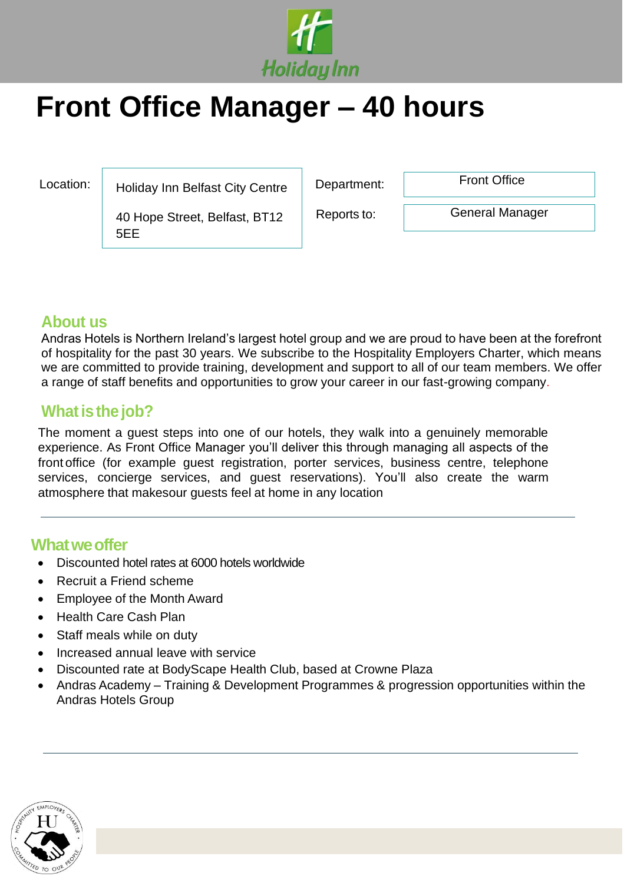

# **Front Office Manager – 40 hours**

Location: Bulliday Inn Belfast City Centre Poly and the partment: Pront Office

40 Hope Street, Belfast, BT12 5EE

Reports to:

General Manager

# **About us**

Andras Hotels is Northern Ireland's largest hotel group and we are proud to have been at the forefront of hospitality for the past 30 years. We subscribe to the Hospitality Employers Charter, which means we are committed to provide training, development and support to all of our team members. We offer a range of staff benefits and opportunities to grow your career in our fast-growing company.

# **What is the job?**

The moment a guest steps into one of our hotels, they walk into a genuinely memorable experience. As Front Office Manager you'll deliver this through managing all aspects of the front office (for example guest registration, porter services, business centre, telephone services, concierge services, and guest reservations). You'll also create the warm atmosphere that makesour guests feel at home in any location

### **Whatweoffer**

- Discounted hotel rates at 6000 hotels worldwide
- Recruit a Friend scheme
- Employee of the Month Award
- Health Care Cash Plan
- Staff meals while on duty
- Increased annual leave with service
- Discounted rate at BodyScape Health Club, based at Crowne Plaza
- Andras Academy Training & Development Programmes & progression opportunities within the Andras Hotels Group

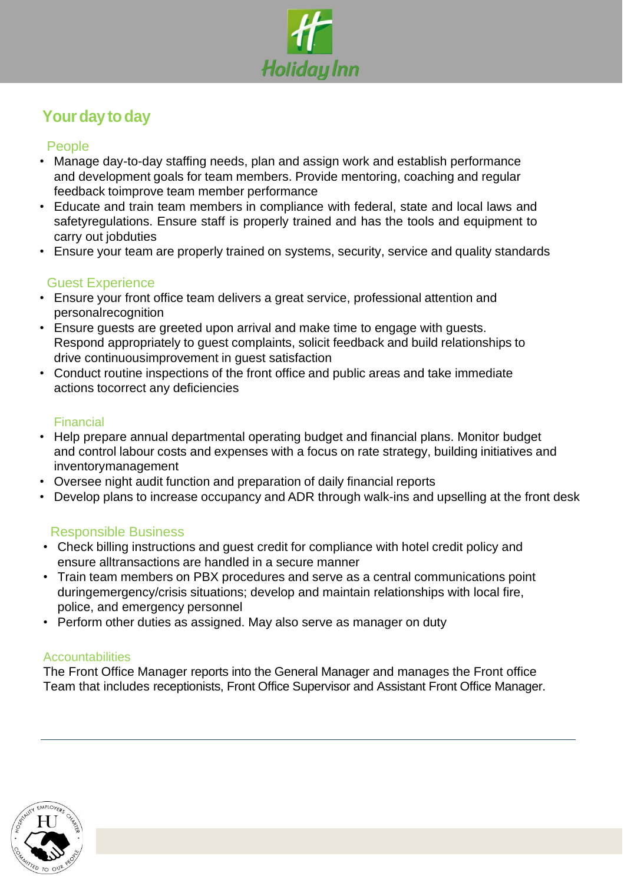

# **Your day to day**

#### People

- Manage day-to-day staffing needs, plan and assign work and establish performance and development goals for team members. Provide mentoring, coaching and regular feedback toimprove team member performance
- Educate and train team members in compliance with federal, state and local laws and safetyregulations. Ensure staff is properly trained and has the tools and equipment to carry out jobduties
- Ensure your team are properly trained on systems, security, service and quality standards

#### Guest Experience

- Ensure your front office team delivers a great service, professional attention and personalrecognition
- Ensure guests are greeted upon arrival and make time to engage with guests. Respond appropriately to guest complaints, solicit feedback and build relationships to drive continuousimprovement in guest satisfaction
- Conduct routine inspections of the front office and public areas and take immediate actions tocorrect any deficiencies

#### **Financial**

- Help prepare annual departmental operating budget and financial plans. Monitor budget and control labour costs and expenses with a focus on rate strategy, building initiatives and inventorymanagement
- Oversee night audit function and preparation of daily financial reports
- Develop plans to increase occupancy and ADR through walk-ins and upselling at the front desk

#### Responsible Business

- Check billing instructions and guest credit for compliance with hotel credit policy and ensure alltransactions are handled in a secure manner
- Train team members on PBX procedures and serve as a central communications point duringemergency/crisis situations; develop and maintain relationships with local fire, police, and emergency personnel
- Perform other duties as assigned. May also serve as manager on duty

#### **Accountabilities**

The Front Office Manager reports into the General Manager and manages the Front office Team that includes receptionists, Front Office Supervisor and Assistant Front Office Manager.